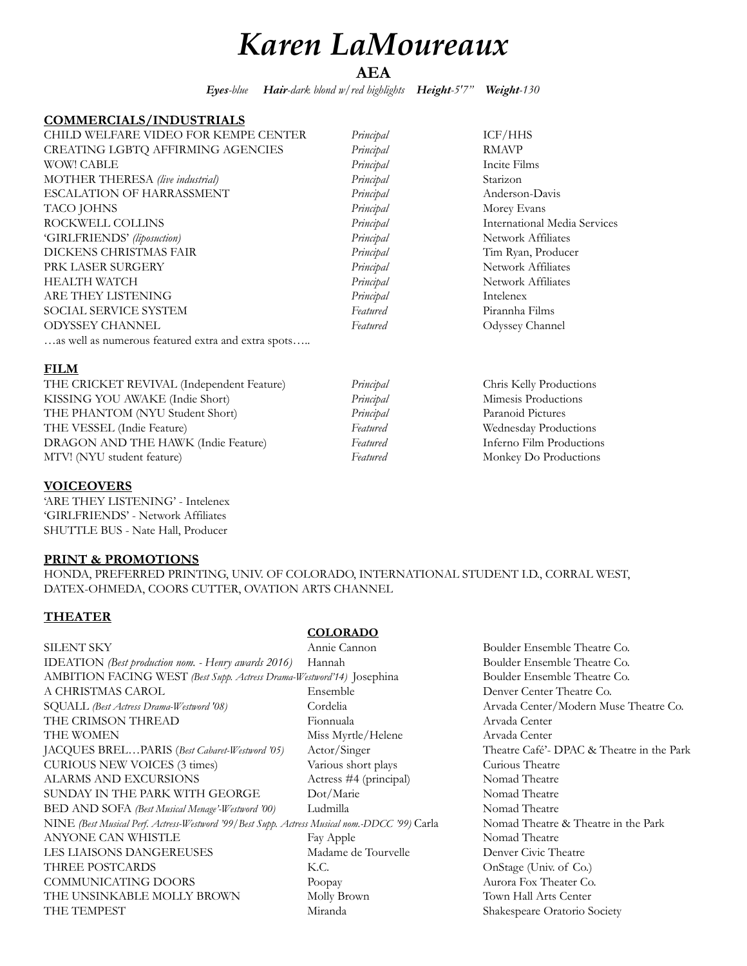# *Karen LaMoureaux*

**AEA**

Principal **Chris Kelly Productions** Principal Mimesis Productions Principal Paranoid Pictures Featured **Wednesday Productions** Featured **Inferno Film Productions** Featured **Monkey Do Productions** 

*Eyes-blue Hair-dark blond w/red highlights Height-5'7" Weight-130* 

#### **COMMERCIALS/INDUSTRIALS**

| CHILD WELFARE VIDEO FOR KEMPE CENTER               | Principal | ICF/HHS                      |
|----------------------------------------------------|-----------|------------------------------|
| CREATING LGBTQ AFFIRMING AGENCIES                  | Principal | <b>RMAVP</b>                 |
| <b>WOW! CABLE</b>                                  | Principal | Incite Films                 |
| MOTHER THERESA (live industrial)                   | Principal | Starizon                     |
| ESCALATION OF HARRASSMENT                          | Principal | Anderson-Davis               |
| TACO JOHNS                                         | Principal | Morey Evans                  |
| ROCKWELL COLLINS                                   | Principal | International Media Services |
| 'GIRLFRIENDS' (liposuction)                        | Principal | Network Affiliates           |
| DICKENS CHRISTMAS FAIR                             | Principal | Tim Ryan, Producer           |
| PRK LASER SURGERY                                  | Principal | Network Affiliates           |
| <b>HEALTH WATCH</b>                                | Principal | Network Affiliates           |
| ARE THEY LISTENING                                 | Principal | Intelenex                    |
| <b>SOCIAL SERVICE SYSTEM</b>                       | Featured  | Pirannha Films               |
| <b>ODYSSEY CHANNEL</b>                             | Featured  | Odyssey Channel              |
| as well as numerous featured extra and extra spots |           |                              |

# **FILM**

| THE CRICKET REVIVAL (Independent Feature) |
|-------------------------------------------|
| KISSING YOU AWAKE (Indie Short)           |
| THE PHANTOM (NYU Student Short)           |
| THE VESSEL (Indie Feature)                |
| DRAGON AND THE HAWK (Indie Feature)       |
| MTV! (NYU student feature)                |

### **VOICEOVERS**

'ARE THEY LISTENING' - Intelenex 'GIRLFRIENDS' - Network Affiliates SHUTTLE BUS - Nate Hall, Producer

#### **PRINT & PROMOTIONS**

HONDA, PREFERRED PRINTING, UNIV. OF COLORADO, INTERNATIONAL STUDENT I.D., CORRAL WEST, DATEX-OHMEDA, COORS CUTTER, OVATION ARTS CHANNEL

# **THEATER**

### SILENT SKY Annie Cannon Boulder Ensemble Theatre Co. IDEATION *(Best production nom. - Henry awards 2016)* Hannah Boulder Ensemble Theatre Co. AMBITION FACING WEST *(Best Supp. Actress Drama-Westword'14)* Josephina Boulder Ensemble Theatre Co. A CHRISTMAS CAROL Ensemble Denver Center Theatre Co. SQUALL *(Best Actress Drama-Westword '08)* Cordelia Arvada Center/Modern Muse Theatre Co. THE CRIMSON THREAD Fionnuala Fionnuala Arvada Center THE WOMEN Miss Myrtle/Helene Arvada Center JACQUES BREL…PARIS (*Best Cabaret-Westword '05)* Actor/Singer Theatre Café'- DPAC & Theatre in the Park CURIOUS NEW VOICES (3 times) Various short plays Curious Theatre ALARMS AND EXCURSIONS Actress #4 (principal) Nomad Theatre SUNDAY IN THE PARK WITH GEORGE Dot/Marie Nomad Theatre BED AND SOFA *(Best Musical Menage'-Westword '00)* Ludmilla Nomad Theatre NINE *(Best Musical Perf. Actress-Westword '99/Best Supp. Actress Musical nom.-DDCC '99)* Carla Nomad Theatre & Theatre in the Park ANYONE CAN WHISTLE Fay Apple Fay Apple Nomad Theatre LES LIAISONS DANGEREUSES Madame de Tourvelle Denver Civic Theatre THREE POSTCARDS K.C. C. OnStage (Univ. of Co.) COMMUNICATING DOORS Poopay Aurora Fox Theater Co. THE UNSINKABLE MOLLY BROWN Molly Brown Town Hall Arts Center THE TEMPEST **Miranda** Miranda Shakespeare Oratorio Society

#### **COLORADO**